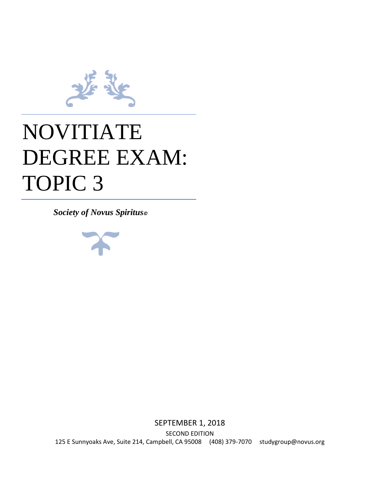

# NOVITIATE DEGREE EXAM: TOPIC 3

*Society of Novus Spiritus©*



SEPTEMBER 1, 2018 SECOND EDITION 125 E Sunnyoaks Ave, Suite 214, Campbell, CA 95008 (408) 379-7070 studygroup@novus.org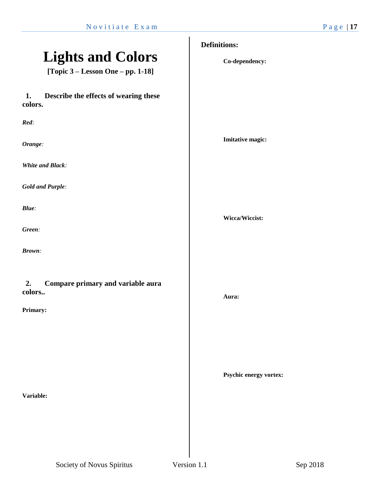# **Lights and Colors**

**[Topic 3 – Lesson One – pp. 1-18]**

# **1. Describe the effects of wearing these colors.**

*Red:*

*Orange:*

*White and Black:*

*Gold and Purple:*

*Blue:*

*Green:*

*Brown:*

## **2. Compare primary and variable aura colors..**

#### **Primary:**

**Variable:** 

# **Definitions:**

**Co-dependency:**

**Imitative magic:**

**Wicca/Wiccist:**

**Aura:**

**Psychic energy vortex:**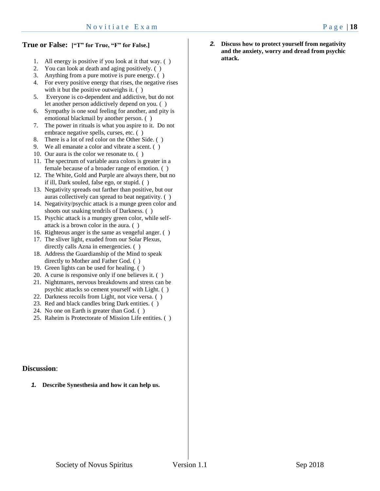### **True or False: ["T" for True, "F" for False.]**

- 1. All energy is positive if you look at it that way. ( )
- 2. You can look at death and aging positively. ( )
- 3. Anything from a pure motive is pure energy. ( )
- 4. For every positive energy that rises, the negative rises with it but the positive outweighs it.  $( )$
- 5. Everyone is co-dependent and addictive, but do not let another person addictively depend on you. ( )
- 6. Sympathy is one soul feeling for another, and pity is emotional blackmail by another person. ( )
- 7. The power in rituals is what you aspire to it. Do not embrace negative spells, curses, etc. ( )
- 8. There is a lot of red color on the Other Side. ( )
- 9. We all emanate a color and vibrate a scent. ( )
- 10. Our aura is the color we resonate to. ( )
- 11. The spectrum of variable aura colors is greater in a female because of a broader range of emotion. ( )
- 12. The White, Gold and Purple are always there, but no if ill, Dark souled, false ego, or stupid. ( )
- 13. Negativity spreads out farther than positive, but our auras collectively can spread to beat negativity. ( )
- 14. Negativity/psychic attack is a munge green color and shoots out snaking tendrils of Darkness. ( )
- 15. Psychic attack is a mungey green color, while selfattack is a brown color in the aura. ( )
- 16. Righteous anger is the same as vengeful anger. ( )
- 17. The sliver light, exuded from our Solar Plexus, directly calls Azna in emergencies. ( )
- 18. Address the Guardianship of the Mind to speak directly to Mother and Father God. ( )
- 19. Green lights can be used for healing. ( )
- 20. A curse is responsive only if one believes it. ( )
- 21. Nightmares, nervous breakdowns and stress can be psychic attacks so cement yourself with Light. ( )
- 22. Darkness recoils from Light, not vice versa. ( )
- 23. Red and black candles bring Dark entities. ( )
- 24. No one on Earth is greater than God. ( )
- 25. Raheim is Protectorate of Mission Life entities. ( )

### **Discussion**:

*1.* **Describe Synesthesia and how it can help us.**

*2.* **Discuss how to protect yourself from negativity and the anxiety, worry and dread from psychic attack.**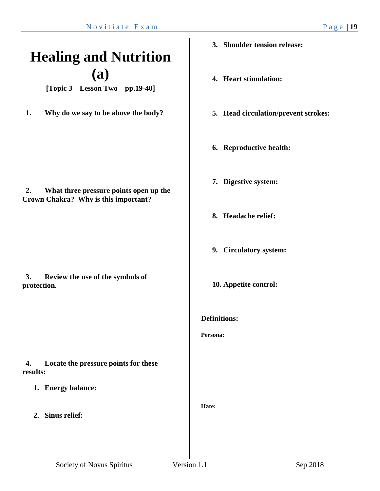# **Healing and Nutrition (a)**

**[Topic 3 – Lesson Two – pp.19-40]**

**1. Why do we say to be above the body?**

**2. What three pressure points open up the** 

**Crown Chakra? Why is this important?**

**3. Review the use of the symbols of** 

- **3. Shoulder tension release:**
- **4. Heart stimulation:**
- **5. Head circulation/prevent strokes:**
- **6. Reproductive health:**
- **7. Digestive system:**
- **8. Headache relief:**
- **9. Circulatory system:**
- **10. Appetite control:**
- **Definitions:**

**Persona:**

**4. Locate the pressure points for these results:**

- **1. Energy balance:**
- **2. Sinus relief:**

**protection.**

**Hate:**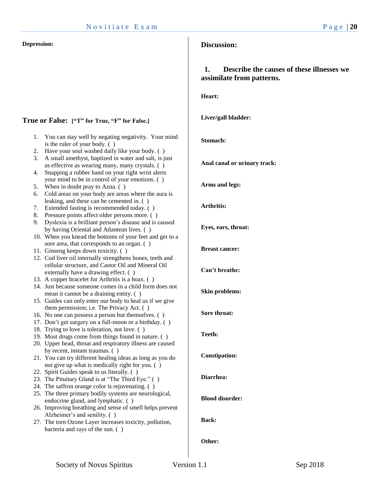#### **Depression:**

# **True or False: ["T" for True, "F" for False.]**

1. You can stay well by negating negativity. Your mind

|    | is the ruler of your body. ()                                                                           | stomacn:               |
|----|---------------------------------------------------------------------------------------------------------|------------------------|
| 2. | Have your soul washed daily like your body. ()                                                          |                        |
| 3. | A small amethyst, baptized in water and salt, is just                                                   |                        |
|    | as effective as wearing many, many crystals. ()                                                         | Anal canal or urinar   |
| 4. | Snapping a rubber band on your right wrist alerts                                                       |                        |
|    | your mind to be in control of your emotions. ()                                                         |                        |
| 5. | When in doubt pray to Azna. ()                                                                          | Arms and legs:         |
| 6. | Cold areas on your body are areas where the aura is                                                     |                        |
|    | leaking, and these can be cemented in. ()                                                               |                        |
| 7. | Extended fasting is recommended today. ()                                                               | <b>Arthritis:</b>      |
| 8. | Pressure points affect older persons more. ()                                                           |                        |
| 9. | Dyslexia is a brilliant person's disease and is caused                                                  |                        |
|    | by having Oriental and Atlantean lives. ()                                                              | Eyes, ears, throat:    |
|    |                                                                                                         |                        |
|    | 10. When you knead the bottoms of your feet and get to a<br>sore area, that corresponds to an organ. () |                        |
|    |                                                                                                         | <b>Breast cancer:</b>  |
|    | 11. Ginseng keeps down toxicity. ()                                                                     |                        |
|    | 12. Cod liver oil internally strengthens bones, teeth and                                               |                        |
|    | cellular structure, and Castor Oil and Mineral Oil                                                      | Can't breathe:         |
|    | externally have a drawing effect. ()                                                                    |                        |
|    | 13. A copper bracelet for Arthritis is a hoax. ()                                                       |                        |
|    | 14. Just because someone comes in a child form does not                                                 | <b>Skin problems:</b>  |
|    | mean it cannot be a draining entity. ()                                                                 |                        |
|    | 15. Guides can only enter our body to heal us if we give                                                |                        |
|    | them permission; i.e. The Privacy Act. ()                                                               | Sore throat:           |
|    | 16. No one can possess a person but themselves. ()                                                      |                        |
|    | 17. Don't get surgery on a full-moon or a birthday. ()                                                  |                        |
|    | 18. Trying to love is toleration, not love. ()                                                          | Teeth:                 |
|    | 19. Most drugs come from things found in nature. ()                                                     |                        |
|    | 20. Upper head, throat and respiratory illness are caused                                               |                        |
|    | by recent, instant traumas. ()                                                                          |                        |
|    | 21. You can try different healing ideas as long as you do                                               | <b>Constipation:</b>   |
|    | not give up what is medically right for you. ()                                                         |                        |
|    | 22. Spirit Guides speak to us literally. ()                                                             | Diarrhea:              |
|    | 23. The Pituitary Gland is at "The Third Eye." ()                                                       |                        |
|    | 24. The saffron orange color is rejuvenating. ()                                                        |                        |
|    | 25. The three primary bodily systems are neurological,                                                  |                        |
|    | endocrine gland, and lymphatic. ()                                                                      | <b>Blood disorder:</b> |
|    | 26. Improving breathing and sense of smell helps prevent                                                |                        |
|    | Alzheimer's and senility. ()                                                                            |                        |
|    | 27. The torn Ozone Layer increases toxicity, pollution,                                                 | <b>Back:</b>           |
|    | bacteria and rays of the sun. ()                                                                        |                        |
|    |                                                                                                         | $\Omega$ than          |
|    |                                                                                                         |                        |

# **Discussion:**

# **1. Describe the causes of these illnesses we assimilate from patterns.**

**Heart:**

### **Liver/gall bladder:**

### **Stomach:**

**y** track:

### **Other:**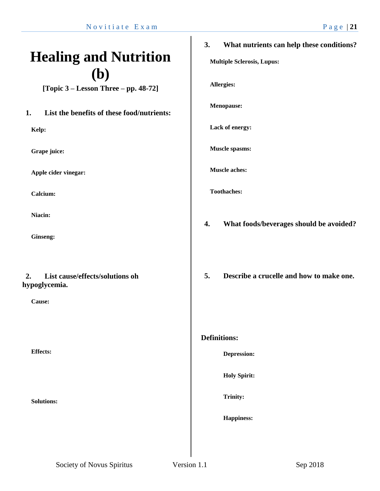# **Healing and Nutrition (b)**

**[Topic 3 – Lesson Three – pp. 48-72]**

# **1. List the benefits of these food/nutrients:**

**Kelp:**

**Grape juice:**

**Apple cider vinegar:**

**Calcium:**

**Niacin:**

**Ginseng:**

# **2. List cause/effects/solutions oh hypoglycemia.**

**Cause:**

**Effects:**

**Solutions:**

# **3. What nutrients can help these conditions?**

**Multiple Sclerosis, Lupus:**

**Allergies:**

**Menopause:**

**Lack of energy:**

**Muscle spasms:**

**Muscle aches:**

**Toothaches:**

- **4. What foods/beverages should be avoided?**
- **5. Describe a crucelle and how to make one.**

### **Definitions:**

**Depression:**

**Holy Spirit:**

**Trinity:**

**Happiness:**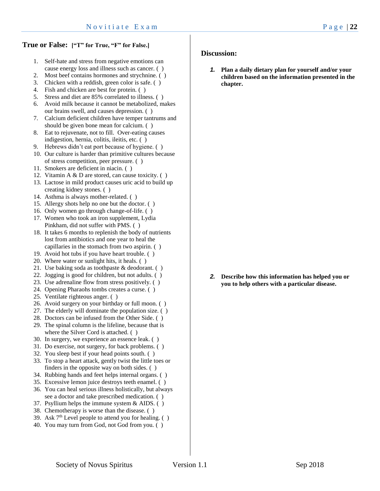### **True or False: ["T" for True, "F" for False.]**

- 1. Self-hate and stress from negative emotions can cause energy loss and illness such as cancer. ( )
- 2. Most beef contains hormones and strychnine. ( )
- 3. Chicken with a reddish, green color is safe. ( )
- 4. Fish and chicken are best for protein. ( )
- 5. Stress and diet are 85% correlated to illness. ( )
- 6. Avoid milk because it cannot be metabolized, makes our brains swell, and causes depression. ( )
- 7. Calcium deficient children have temper tantrums and should be given bone mean for calcium. ( )
- 8. Eat to rejuvenate, not to fill. Over-eating causes indigestion, hernia, colitis, ileitis, etc. ( )
- 9. Hebrews didn't eat port because of hygiene. ( )
- 10. Our culture is harder than primitive cultures because of stress competition, peer pressure. ( )
- 11. Smokers are deficient in niacin. ( )
- 12. Vitamin A & D are stored, can cause toxicity. ( )
- 13. Lactose in mild product causes uric acid to build up creating kidney stones. ( )
- 14. Asthma is always mother-related. ( )
- 15. Allergy shots help no one but the doctor. ( )
- 16. Only women go through change-of-life. ( )
- 17. Women who took an iron supplement, Lydia Pinkham, did not suffer with PMS. ( )
- 18. It takes 6 months to replenish the body of nutrients lost from antibiotics and one year to heal the capillaries in the stomach from two aspirin. ( )
- 19. Avoid hot tubs if you have heart trouble. ( )
- 20. Where water or sunlight hits, it heals. ( )
- 21. Use baking soda as toothpaste & deodorant. ( )
- 22. Jogging is good for children, but not adults. ( )
- 23. Use adrenaline flow from stress positively. ( )
- 24. Opening Pharaohs tombs creates a curse. ( )
- 25. Ventilate righteous anger. ( )
- 26. Avoid surgery on your birthday or full moon. ( )
- 27. The elderly will dominate the population size. ( )
- 28. Doctors can be infused from the Other Side. ( )
- 29. The spinal column is the lifeline, because that is where the Silver Cord is attached.  $( )$
- 30. In surgery, we experience an essence leak. ( )
- 31. Do exercise, not surgery, for back problems. ( )
- 32. You sleep best if your head points south. ( )
- 33. To stop a heart attack, gently twist the little toes or finders in the opposite way on both sides. ( )
- 34. Rubbing hands and feet helps internal organs. ( )
- 35. Excessive lemon juice destroys teeth enamel. ( )
- 36. You can heal serious illness holistically, but always see a doctor and take prescribed medication. ( )
- 37. Psyllium helps the immune system & AIDS. ( )
- 38. Chemotherapy is worse than the disease. ( )
- 39. Ask  $7<sup>th</sup>$  Level people to attend you for healing. ()
- 40. You may turn from God, not God from you. ( )

### **Discussion:**

*1.* **Plan a daily dietary plan for yourself and/or your children based on the information presented in the chapter.**

*2.* **Describe how this information has helped you or you to help others with a particular disease.**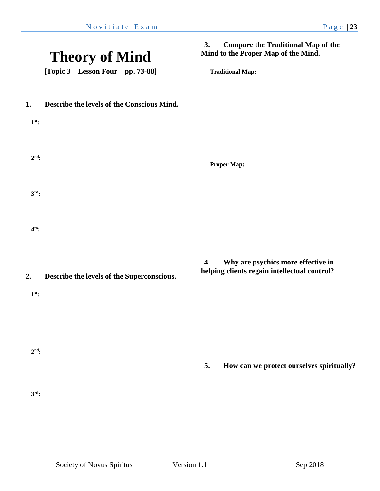|         | <b>Theory of Mind</b><br>[Topic $3 -$ Lesson Four $-$ pp. 73-88] | <b>Compare the Traditional Map of the</b><br>3.<br>Mind to the Proper Map of the Mind.<br><b>Traditional Map:</b> |
|---------|------------------------------------------------------------------|-------------------------------------------------------------------------------------------------------------------|
| 1.      | Describe the levels of the Conscious Mind.                       |                                                                                                                   |
| $1st$ : |                                                                  |                                                                                                                   |
| $2nd$ : |                                                                  | <b>Proper Map:</b>                                                                                                |
| $3rd$ : |                                                                  |                                                                                                                   |
| $4th$ : |                                                                  |                                                                                                                   |
| 2.      | Describe the levels of the Superconscious.                       | Why are psychics more effective in<br>4.<br>helping clients regain intellectual control?                          |
| $1st$ : |                                                                  |                                                                                                                   |
|         |                                                                  |                                                                                                                   |
| $2nd$ : |                                                                  | 5.<br>How can we protect ourselves spiritually?                                                                   |
| $3rd$ : |                                                                  |                                                                                                                   |
|         |                                                                  |                                                                                                                   |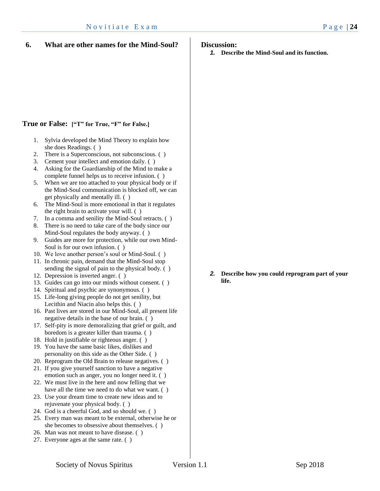# **True or False: ["T" for True, "F" for False.]**

- 1. Sylvia developed the Mind Theory to explain how she does Readings. ( )
- 2. There is a Superconscious, not subconscious. ( )
- 3. Cement your intellect and emotion daily. ( )
- 4. Asking for the Guardianship of the Mind to make a complete funnel helps us to receive infusion. ( )
- 5. When we are too attached to your physical body or if the Mind-Soul communication is blocked off, we can get physically and mentally ill. ( )
- 6. The Mind-Soul is more emotional in that it regulates the right brain to activate your will. ( )
- 7. In a comma and senility the Mind-Soul retracts. ( )
- 8. There is no need to take care of the body since our Mind-Soul regulates the body anyway. ( )
- 9. Guides are more for protection, while our own Mind-Soul is for our own infusion. ( )
- 10. We love another person's soul or Mind-Soul. ( )
- 11. In chronic pain, demand that the Mind-Soul stop sending the signal of pain to the physical body. ( )
- 12. Depression is inverted anger. ( )
- 13. Guides can go into our minds without consent. ( )
- 14. Spiritual and psychic are synonymous. ( )
- 15. Life-long giving people do not get senility, but Lecithin and Niacin also helps this. ( )
- 16. Past lives are stored in our Mind-Soul, all present life negative details in the base of our brain. ( )
- 17. Self-pity is more demoralizing that grief or guilt, and boredom is a greater killer than trauma. ( )
- 18. Hold in justifiable or righteous anger. ( )
- 19. You have the same basic likes, dislikes and personality on this side as the Other Side. ( )
- 20. Reprogram the Old Brain to release negatives. ( )
- 21. If you give yourself sanction to have a negative emotion such as anger, you no longer need it. ( )
- 22. We must live in the here and now felling that we have all the time we need to do what we want. ()
- 23. Use your dream time to create new ideas and to rejuvenate your physical body. ( )
- 24. God is a cheerful God, and so should we. ( )
- 25. Every man was meant to be external, otherwise he or she becomes to obsessive about themselves. ( )
- 26. Man was not meant to have disease. ( )
- 27. Everyone ages at the same rate. ( )
- **Discussion:** 
	- *1.* **Describe the Mind-Soul and its function.**

#### *2.* **Describe how you could reprogram part of your life.**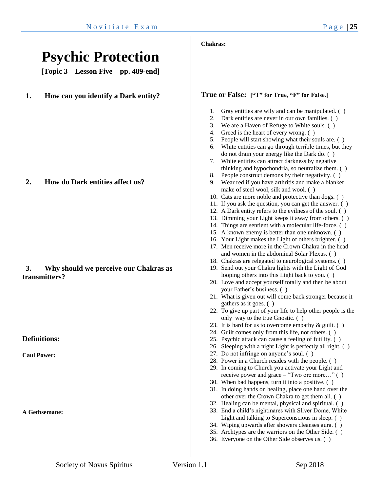# **Psychic Protection**

**[Topic 3 – Lesson Five – pp. 489-end]**

**1. How can you identify a Dark entity?**

**2. How do Dark entities affect us?**

# **3. Why should we perceive our Chakras as transmitters?**

**Definitions:**

**Caul Power:**

**A Gethsemane:**

### **Chakras:**

### **True or False: ["T" for True, "F" for False.]**

- 1. Gray entities are wily and can be manipulated. ( )
- 2. Dark entities are never in our own families. ( )
- 3. We are a Haven of Refuge to White souls. ( )
- 4. Greed is the heart of every wrong. ( )
- 5. People will start showing what their souls are. ( )
- 6. White entities can go through terrible times, but they do not drain your energy like the Dark do. ( )
- 7. White entities can attract darkness by negative thinking and hypochondria, so neutralize them. ( )
- 8. People construct demons by their negativity. ( )
- 9. Wear red if you have arthritis and make a blanket make of steel wool, silk and wool. ( )
- 10. Cats are more noble and protective than dogs. ( )
- 11. If you ask the question, you can get the answer. ( )
- 12. A Dark entity refers to the evilness of the soul. ( )
- 13. Dimming your Light keeps it away from others. ( )
- 14. Things are sentient with a molecular life-force. ( )
- 15. A known enemy is better than one unknown. ( )
- 16. Your Light makes the Light of others brighter. ( )
- 17. Men receive more in the Crown Chakra in the head and women in the abdominal Solar Plexus. ( )
- 18. Chakras are relegated to neurological systems. ( )
- 19. Send out your Chakra lights with the Light of God looping others into this Light back to you. ( )
- 20. Love and accept yourself totally and then be about your Father's business. ( )
- 21. What is given out will come back stronger because it gathers as it goes. ( )
- 22. To give up part of your life to help other people is the only way to the true Gnostic. ( )
- 23. It is hard for us to overcome empathy  $\&$  guilt. ()
- 24. Guilt comes only from this life, not others. ( )
- 25. Psychic attack can cause a feeling of futility. ( )
- 26. Sleeping with a night Light is perfectly all right. ( )
- 27. Do not infringe on anyone's soul. ( )
- 28. Power in a Church resides with the people. ( )
- 29. In coming to Church you activate your Light and receive power and grace – "Two ore more…" ( )
- 30. When bad happens, turn it into a positive. ( )
- 31. In doing hands on healing, place one hand over the other over the Crown Chakra to get them all. ( )
- 32. Healing can be mental, physical and spiritual. ( )
- 33. End a child's nightmares with Sliver Dome, White Light and talking to Superconscious in sleep. ( )
- 34. Wiping upwards after showers cleanses aura. ( )
- 35. Archtypes are the warriors on the Other Side. ( )
- 36. Everyone on the Other Side observes us. ( )